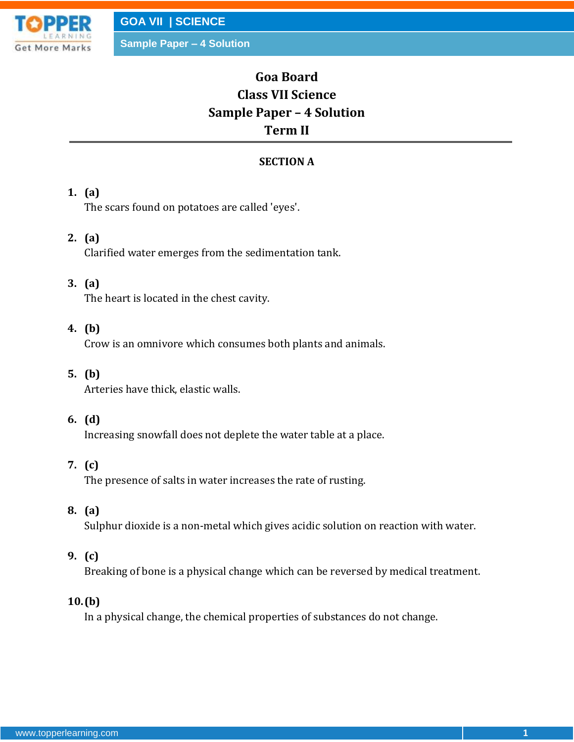

**Goa Board Class VII Science Sample Paper – 4 Solution Term II**

# **SECTION A**

### **1. (a)**

The scars found on potatoes are called 'eyes'.

### **2. (a)**

Clarified water emerges from the sedimentation tank.

### **3. (a)**

The heart is located in the chest cavity.

# **4. (b)**

Crow is an omnivore which consumes both plants and animals.

#### **5. (b)**

Arteries have thick, elastic walls.

#### **6. (d)**

Increasing snowfall does not deplete the water table at a place.

# **7. (c)**

The presence of salts in water increases the rate of rusting.

### **8. (a)**

Sulphur dioxide is a non-metal which gives acidic solution on reaction with water.

#### **9. (c)**

Breaking of bone is a physical change which can be reversed by medical treatment.

### **10.(b)**

In a physical change, the chemical properties of substances do not change.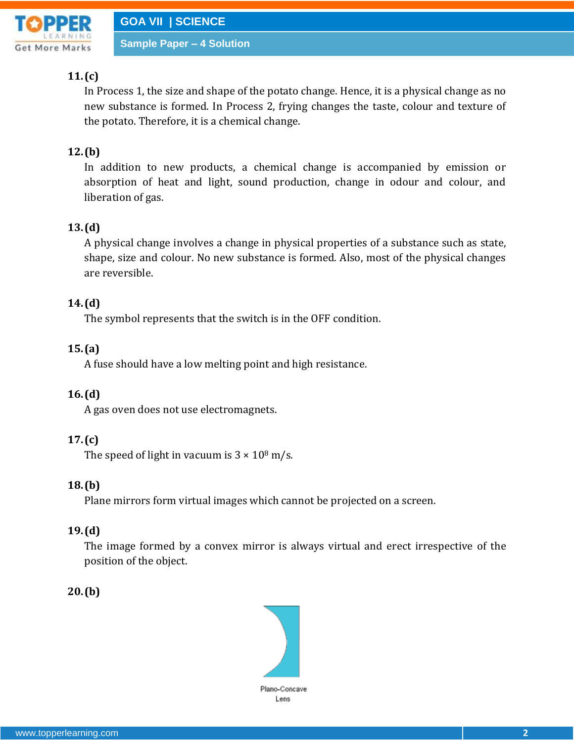

# **11.(c)**

In Process 1, the size and shape of the potato change. Hence, it is a physical change as no new substance is formed. In Process 2, frying changes the taste, colour and texture of the potato. Therefore, it is a chemical change.

# **12.(b)**

In addition to new products, a chemical change is accompanied by emission or absorption of heat and light, sound production, change in odour and colour, and liberation of gas.

# **13.(d)**

A physical change involves a change in physical properties of a substance such as state, shape, size and colour. No new substance is formed. Also, most of the physical changes are reversible.

# **14.(d)**

The symbol represents that the switch is in the OFF condition.

# **15.(a)**

A fuse should have a low melting point and high resistance.

# **16.(d)**

A gas oven does not use electromagnets.

# **17.(c)**

The speed of light in vacuum is  $3 \times 10^8$  m/s.

# **18.(b)**

Plane mirrors form virtual images which cannot be projected on a screen.

# **19.(d)**

The image formed by a convex mirror is always virtual and erect irrespective of the position of the object.

# **20.(b)**

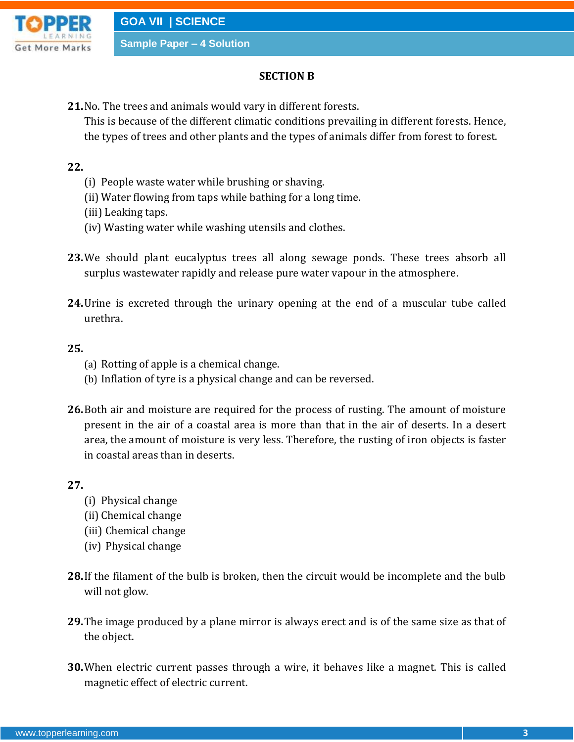

### **SECTION B**

**21.**No. The trees and animals would vary in different forests.

This is because of the different climatic conditions prevailing in different forests. Hence, the types of trees and other plants and the types of animals differ from forest to forest.

### **22.**

- (i) People waste water while brushing or shaving.
- (ii) Water flowing from taps while bathing for a long time.
- (iii) Leaking taps.
- (iv) Wasting water while washing utensils and clothes.
- **23.**We should plant eucalyptus trees all along sewage ponds. These trees absorb all surplus wastewater rapidly and release pure water vapour in the atmosphere.
- **24.**Urine is excreted through the urinary opening at the end of a muscular tube called urethra.

#### **25.**

- (a) Rotting of apple is a chemical change.
- (b) Inflation of tyre is a physical change and can be reversed.
- **26.**Both air and moisture are required for the process of rusting. The amount of moisture present in the air of a coastal area is more than that in the air of deserts. In a desert area, the amount of moisture is very less. Therefore, the rusting of iron objects is faster in coastal areas than in deserts.

### **27.**

- (i) Physical change
- (ii) Chemical change
- (iii) Chemical change
- (iv) Physical change
- **28.**If the filament of the bulb is broken, then the circuit would be incomplete and the bulb will not glow.
- **29.**The image produced by a plane mirror is always erect and is of the same size as that of the object.
- **30.**When electric current passes through a wire, it behaves like a magnet. This is called magnetic effect of electric current.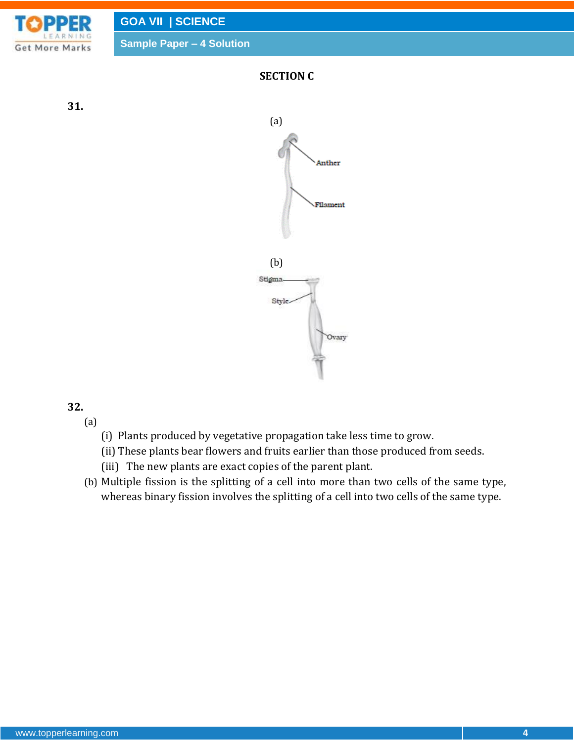

# **32.**

(a)

- (i) Plants produced by vegetative propagation take less time to grow.
- (ii) These plants bear flowers and fruits earlier than those produced from seeds.
- (iii) The new plants are exact copies of the parent plant.
- (b) Multiple fission is the splitting of a cell into more than two cells of the same type, whereas binary fission involves the splitting of a cell into two cells of the same type.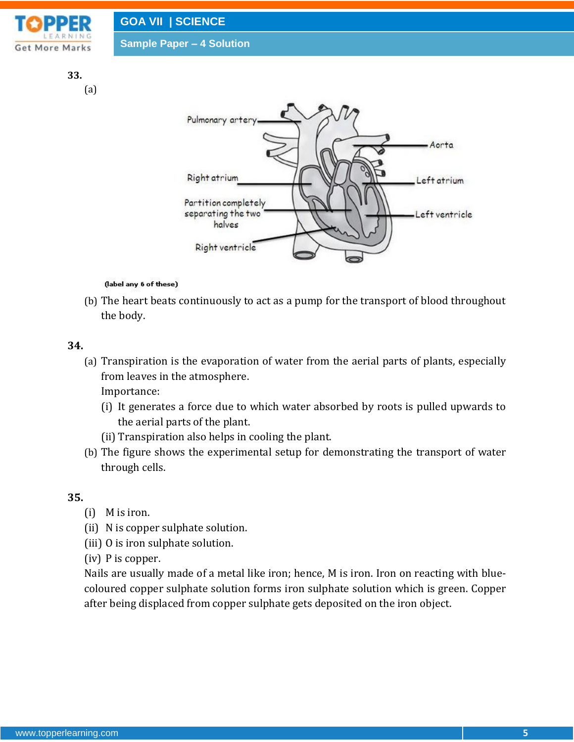

# (label any 6 of these)

(b) The heart beats continuously to act as a pump for the transport of blood throughout the body.

#### **34.**

(a) Transpiration is the evaporation of water from the aerial parts of plants, especially from leaves in the atmosphere.

Importance:

- (i) It generates a force due to which water absorbed by roots is pulled upwards to the aerial parts of the plant.
- (ii) Transpiration also helps in cooling the plant.

Right ventricle

(b) The figure shows the experimental setup for demonstrating the transport of water through cells.

#### **35.**

- (i) M is iron.
- (ii) N is copper sulphate solution.
- (iii) O is iron sulphate solution.

(iv) P is copper.

Nails are usually made of a metal like iron; hence, M is iron. Iron on reacting with bluecoloured copper sulphate solution forms iron sulphate solution which is green. Copper after being displaced from copper sulphate gets deposited on the iron object.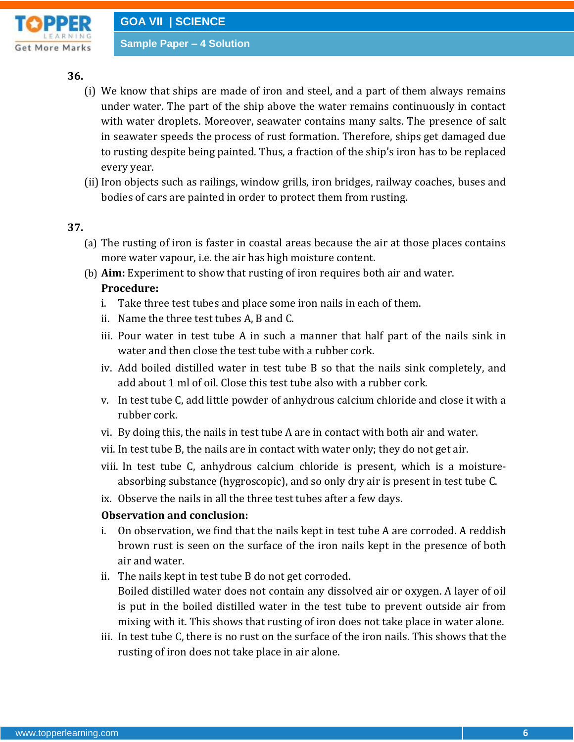

### **36.**

- (i) We know that ships are made of iron and steel, and a part of them always remains under water. The part of the ship above the water remains continuously in contact with water droplets. Moreover, seawater contains many salts. The presence of salt in seawater speeds the process of rust formation. Therefore, ships get damaged due to rusting despite being painted. Thus, a fraction of the ship's iron has to be replaced every year.
- (ii) Iron objects such as railings, window grills, iron bridges, railway coaches, buses and bodies of cars are painted in order to protect them from rusting.

### **37.**

- (a) The rusting of iron is faster in coastal areas because the air at those places contains more water vapour, i.e. the air has high moisture content.
- (b) **Aim:** Experiment to show that rusting of iron requires both air and water.

### **Procedure:**

- i. Take three test tubes and place some iron nails in each of them.
- ii. Name the three test tubes A, B and C.
- iii. Pour water in test tube A in such a manner that half part of the nails sink in water and then close the test tube with a rubber cork.
- iv. Add boiled distilled water in test tube B so that the nails sink completely, and add about 1 ml of oil. Close this test tube also with a rubber cork.
- v. In test tube C, add little powder of anhydrous calcium chloride and close it with a rubber cork.
- vi. By doing this, the nails in test tube A are in contact with both air and water.
- vii. In test tube B, the nails are in contact with water only; they do not get air.
- viii. In test tube C, anhydrous calcium chloride is present, which is a moistureabsorbing substance (hygroscopic), and so only dry air is present in test tube C.
- ix. Observe the nails in all the three test tubes after a few days.

# **Observation and conclusion:**

- i. On observation, we find that the nails kept in test tube A are corroded. A reddish brown rust is seen on the surface of the iron nails kept in the presence of both air and water.
- ii. The nails kept in test tube B do not get corroded. Boiled distilled water does not contain any dissolved air or oxygen. A layer of oil is put in the boiled distilled water in the test tube to prevent outside air from mixing with it. This shows that rusting of iron does not take place in water alone.
- iii. In test tube C, there is no rust on the surface of the iron nails. This shows that the rusting of iron does not take place in air alone.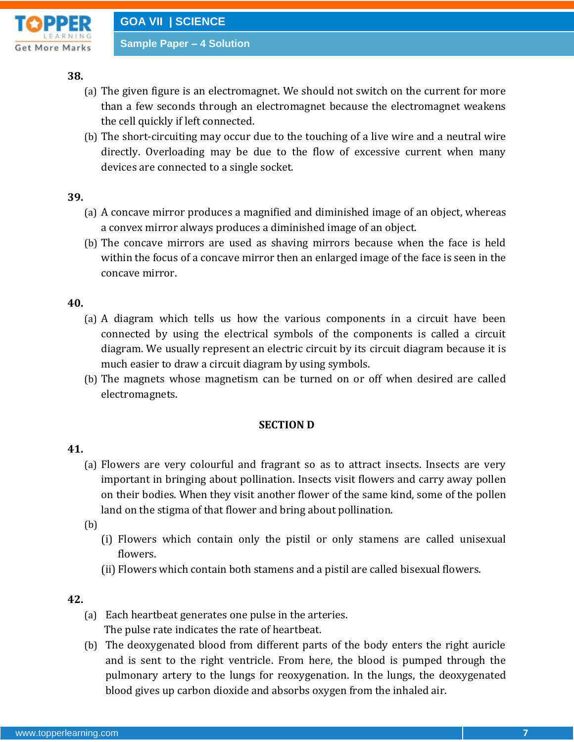

#### **38.**

- (a) The given figure is an electromagnet. We should not switch on the current for more than a few seconds through an electromagnet because the electromagnet weakens the cell quickly if left connected.
- (b) The short-circuiting may occur due to the touching of a live wire and a neutral wire directly. Overloading may be due to the flow of excessive current when many devices are connected to a single socket.

#### **39.**

- (a) A concave mirror produces a magnified and diminished image of an object, whereas a convex mirror always produces a diminished image of an object.
- (b) The concave mirrors are used as shaving mirrors because when the face is held within the focus of a concave mirror then an enlarged image of the face is seen in the concave mirror.

### **40.**

- (a) A diagram which tells us how the various components in a circuit have been connected by using the electrical symbols of the components is called a circuit diagram. We usually represent an electric circuit by its circuit diagram because it is much easier to draw a circuit diagram by using symbols.
- (b) The magnets whose magnetism can be turned on or off when desired are called electromagnets.

#### **SECTION D**

#### **41.**

- (a) Flowers are very colourful and fragrant so as to attract insects. Insects are very important in bringing about pollination. Insects visit flowers and carry away pollen on their bodies. When they visit another flower of the same kind, some of the pollen land on the stigma of that flower and bring about pollination.
- (b)
	- (i) Flowers which contain only the pistil or only stamens are called unisexual flowers.
	- (ii) Flowers which contain both stamens and a pistil are called bisexual flowers.

### **42.**

- (a) Each heartbeat generates one pulse in the arteries. The pulse rate indicates the rate of heartbeat.
- (b) The deoxygenated blood from different parts of the body enters the right auricle and is sent to the right ventricle. From here, the blood is pumped through the pulmonary artery to the lungs for reoxygenation. In the lungs, the deoxygenated blood gives up carbon dioxide and absorbs oxygen from the inhaled air.